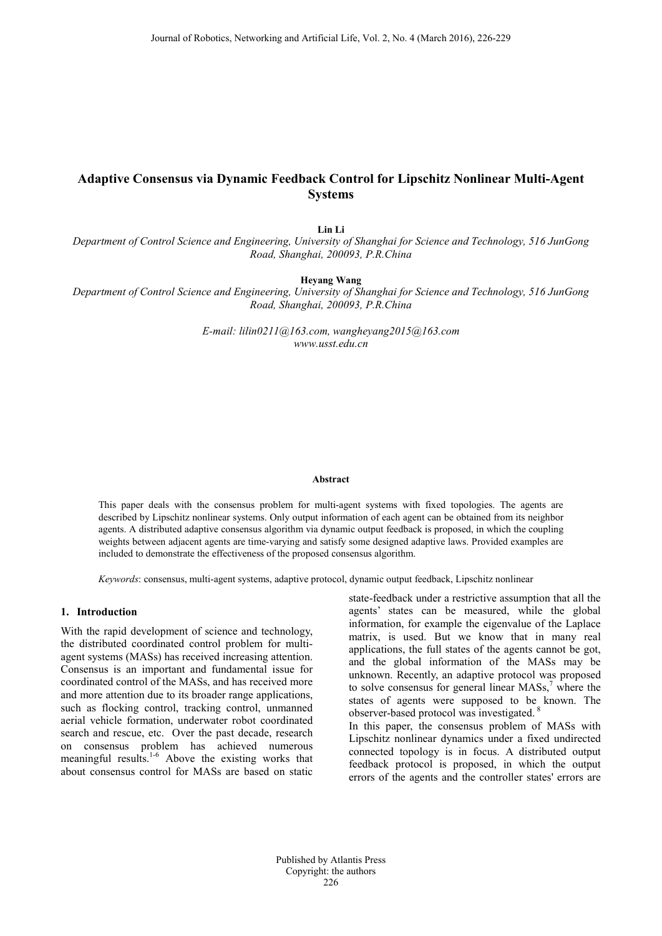# **Adaptive Consensus via Dynamic Feedback Control for Lipschitz Nonlinear Multi-Agent Systems**

**Lin Li**

*Department of Control Science and Engineering, University of Shanghai for Science and Technology, 516 JunGong Road, Shanghai, 200093, P.R.China*

**Heyang Wang**

*Department of Control Science and Engineering, University of Shanghai for Science and Technology, 516 JunGong Road, Shanghai, 200093, P.R.China*

> *E-mail: lilin0211@163.com, wangheyang2015@163.com www.usst.edu.cn*

#### **Abstract**

This paper deals with the consensus problem for multi-agent systems with fixed topologies. The agents are described by Lipschitz nonlinear systems. Only output information of each agent can be obtained from its neighbor agents. A distributed adaptive consensus algorithm via dynamic output feedback is proposed, in which the coupling weights between adjacent agents are time-varying and satisfy some designed adaptive laws. Provided examples are included to demonstrate the effectiveness of the proposed consensus algorithm.

*Keywords*: consensus, multi-agent systems, adaptive protocol, dynamic output feedback, Lipschitz nonlinear

#### **1. Introduction**

With the rapid development of science and technology, the distributed coordinated control problem for multiagent systems (MASs) has received increasing attention. Consensus is an important and fundamental issue for coordinated control of the MASs, and has received more and more attention due to its broader range applications, such as flocking control, tracking control, unmanned aerial vehicle formation, underwater robot coordinated search and rescue, etc. Over the past decade, research on consensus problem has achieved numerous meaningful results. 1-6 Above the existing works that about consensus control for MASs are based on static

state-feedback under a restrictive assumption that all the agents' states can be measured, while the global information, for example the eigenvalue of the Laplace matrix, is used. But we know that in many real applications, the full states of the agents cannot be got, and the global information of the MASs may be unknown. Recently, an adaptive protocol was proposed to solve consensus for general linear  $MASS<sub>s</sub><sup>7</sup>$  where the states of agents were supposed to be known. The observer-based protocol was investigated.<sup>8</sup>

In this paper, the consensus problem of MASs with Lipschitz nonlinear dynamics under a fixed undirected connected topology is in focus. A distributed output feedback protocol is proposed, in which the output errors of the agents and the controller states' errors are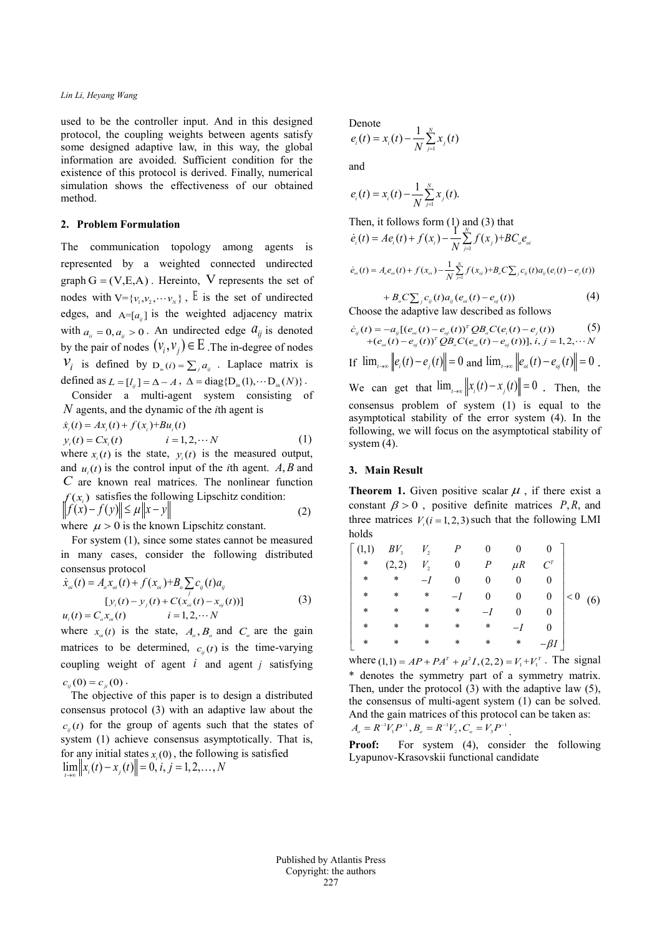### *Lin Li, Heyang Wang*

used to be the controller input. And in this designed protocol, the coupling weights between agents satisfy some designed adaptive law, in this way, the global information are avoided. Sufficient condition for the existence of this protocol is derived. Finally, numerical simulation shows the effectiveness of our obtained method.

## **2. Problem Formulation**

The communication topology among agents is represented by a weighted connected undirected graph  $G = (V, E, A)$ . Hereinto, V represents the set of nodes with  $V = {v_1, v_2, \cdots v_n}$ , E is the set of undirected edges, and  $A=[a_{ij}]$  is the weighted adjacency matrix with  $a_{ii} = 0$ ,  $a_{ii} > 0$ . An undirected edge  $a_{ij}$  is denoted by the pair of nodes  $(v_i, v_j) \in E$ . The in-degree of nodes  $V_i$  is defined by  $D_{i,j}$  *i*  $j = \sum_{i} a_{ij}$  . Laplace matrix is defined as  $L = [l_{ij}] = \Delta - A$ ,  $\Delta = diag\{D_{in}(1), \cdots D_{in}(N)\}\.$ 

Consider a multi-agent system consisting of *N* agents, and the dynamic of the *i*th agent is

 $\dot{x}_i(t) = Ax_i(t) + f(x_i) + Bu_i(t)$ 

$$
y_i(t) = Cx_i(t) \qquad i = 1, 2, \cdots N \qquad (1)
$$

where  $x_i(t)$  is the state,  $y_i(t)$  is the measured output, and  $u_i(t)$  is the control input of the *i*th agent. *A, B* and *C* are known real matrices. The nonlinear function  $f(x_i)$  satisfies the following Lipschitz condition:  $\|f(x) - f(y)\| \le \mu \|x - y\|$  (2)

where  $\mu > 0$  is the known Lipschitz constant.

For system (1), since some states cannot be measured in many cases, consider the following distributed consensus protocol

$$
\dot{x}_{oi}(t) = A_o x_{oi}(t) + f(x_{oi}) + B_o \sum_j c_{ij}(t) a_{ij}
$$
  
\n
$$
[y_i(t) - y_j(t) + C(x_{oi}(t) - x_{oj}(t))] \qquad (3)
$$
  
\n
$$
u_i(t) = C_o x_{oi}(t) \qquad i = 1, 2, \cdots N
$$

where  $x_{0}(t)$  is the state,  $A_{0}$ ,  $B_{0}$  and  $C_{0}$  are the gain matrices to be determined,  $c_n(t)$  is the time-varying coupling weight of agent *i* and agent *j* satisfying  $c_u(0) = c_u(0)$ .

The objective of this paper is to design a distributed consensus protocol (3) with an adaptive law about the  $c_{n}(t)$  for the group of agents such that the states of system (1) achieve consensus asymptotically. That is, for any initial states  $x<sub>i</sub>(0)$ , the following is satisfied  $\lim_{t \to \infty} ||x_i(t) - x_j(t)|| = 0, i, j = 1, 2, ..., N$ 

## Denote

$$
e_i(t) = x_i(t) - \frac{1}{N} \sum_{j=1}^{N} x_j(t)
$$

and

$$
e_i(t) = x_i(t) - \frac{1}{N} \sum_{j=1}^{N} x_j(t).
$$

Then, it follows form (1) and (3) that  
\n
$$
\dot{e}_i(t) = Ae_i(t) + f(x_i) - \frac{1}{N} \sum_{j=1}^{N} f(x_j) + BC_o e_{oi}
$$
\n
$$
\dot{e}_{oi}(t) = A_o e_{oi}(t) + f(x_{oi}) - \frac{1}{N} \sum_{j=1}^{N} f(x_{oj}) + B_o C \sum_j c_{ij}(t) a_{ij} (e_i(t) - e_j(t))
$$
\n
$$
+ B_o C \sum_j c_{ij}(t) a_{ij} (e_{oi}(t) - e_{oj}(t)) \tag{4}
$$

Choose the adaptive law described as follows

$$
\dot{e}_{ij}(t) = -a_{ij}[(e_{oi}(t) - e_{oj}(t))^T QB_oC(e_i(t) - e_j(t))
$$
\n
$$
+ (e_{oi}(t) - e_{oj}(t))^T QB_oC(e_{oi}(t) - e_{oj}(t))], i, j = 1, 2, \cdots N
$$
\nIf  $\lim_{t \to \infty} ||e_i(t) - e_j(t)|| = 0$  and  $\lim_{t \to \infty} ||e_{oi}(t) - e_{oj}(t)|| = 0$ .  
\nWe can get that  $\lim_{t \to \infty} ||x_i(t) - x_j(t)|| = 0$ . Then, the consensus problem of system (1) is equal to the asymptotical stability of the error system (4). In the following, we will focus on the asymptotical stability of system (4).

#### **3. Main Result**

**Theorem 1.** Given positive scalar  $\mu$ , if there exist a constant  $\beta > 0$ , positive definite matrices  $P, R$ , and three matrices  $V_i$  ( $i = 1, 2, 3$ ) such that the following LMI holds

| (1,1)  | BV <sub>3</sub> | $V_{2}$      | P                |        |         |                  |     |     |
|--------|-----------------|--------------|------------------|--------|---------|------------------|-----|-----|
| $\ast$ | (2,2)           | $V_{\rm{2}}$ | $\boldsymbol{0}$ | P      | $\mu$ R |                  |     |     |
| $\ast$ | $\ast$          |              |                  |        |         |                  |     |     |
| *      | *               | *            |                  | 0      |         | $\boldsymbol{0}$ | < 0 | (6) |
| $\ast$ | $\ast$          | $\ast$       | $\ast$           |        |         |                  |     |     |
| $\ast$ | $\ast$          | *            | *                | $\ast$ |         |                  |     |     |
| $\ast$ | $\ast$          | $\ast$       | *                | *      | $\ast$  |                  |     |     |

where  $(1,1) = AP + PA^{T} + \mu^{2}I$ ,  $(2, 2) = V_{1} + V_{1}^{T}$ . The signal \* denotes the symmetry part of a symmetry matrix. Then, under the protocol (3) with the adaptive law (5), the consensus of multi-agent system (1) can be solved. And the gain matrices of this protocol can be taken as:  $A_o = R^{-1}V_1 P^{-1}, B_o = R^{-1}V_2, C_o = V_3 P^{-1}$ 

**Proof:** For system (4), consider the following Lyapunov-Krasovskii functional candidate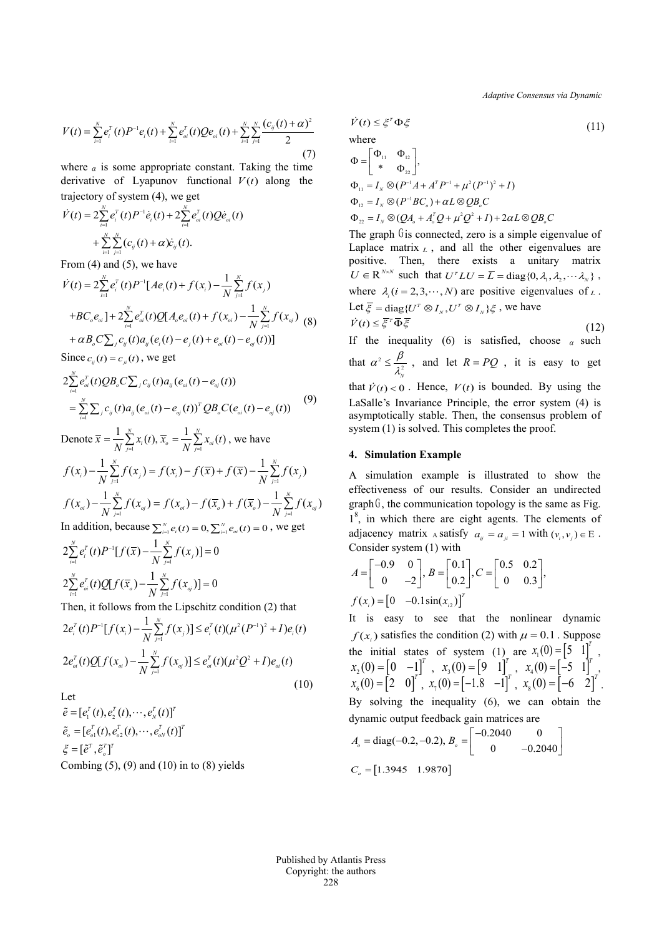*Adaptive Consensus via Dynamic*

$$
V(t) = \sum_{i=1}^{N} e_i^T(t) P^{-1} e_i(t) + \sum_{i=1}^{N} e_{oi}^T(t) Q e_{oi}(t) + \sum_{i=1}^{N} \sum_{j=1}^{N} \frac{(c_{ij}(t) + \alpha)^2}{2}
$$
(7)

where  $\alpha$  is some appropriate constant. Taking the time derivative of Lyapunov functional  $V(t)$  along the trajectory of system (4), we get

$$
\dot{V}(t) = 2 \sum_{i=1}^{N} e_i^{T}(t) P^{-1} \dot{e}_i(t) + 2 \sum_{i=1}^{N} e_{oi}^{T}(t) Q \dot{e}_{oi}(t) + \sum_{i=1}^{N} \sum_{j=1}^{N} (c_{ij}(t) + \alpha) \dot{e}_{ij}(t).
$$

From (4) and (5), we have

$$
\dot{V}(t) = 2\sum_{i=1}^{N} e_i^{T}(t) P^{-1}[Ae_i(t) + f(x_i) - \frac{1}{N} \sum_{j=1}^{N} f(x_j)
$$
  
+
$$
B C_{o} e_{oi} + 2\sum_{i=1}^{N} e_{oi}^{T}(t) Q[A_{o} e_{oi}(t) + f(x_{oi}) - \frac{1}{N} \sum_{j=1}^{N} f(x_{oj})
$$
 (8)  
+
$$
\alpha B_{o} C \sum_{j} c_{ij}(t) a_{ij} (e_i(t) - e_j(t) + e_{oi}(t) - e_{oj}(t))]
$$
  
Since  $c_{ij}(t) = c_{ji}(t)$ , we get

$$
2\sum_{i=1}^{N} e_{oi}^{T}(t)QB_{o}C\sum_{j}c_{ij}(t)a_{ij}(e_{oi}(t)-e_{oj}(t))
$$
  
=
$$
\sum_{i=1}^{N}\sum_{j}c_{ij}(t)a_{ij}(e_{oi}(t)-e_{oj}(t))^{T}QB_{o}C(e_{oi}(t)-e_{oj}(t))
$$
(9)

Denote 
$$
\bar{x} = \frac{1}{N} \sum_{j=1}^{N} x_i(t), \bar{x}_o = \frac{1}{N} \sum_{j=1}^{N} x_{oi}(t)
$$
, we have  
\n
$$
f(x_i) - \frac{1}{N} \sum_{j=1}^{N} f(x_j) = f(x_i) - f(\bar{x}) + f(\bar{x}) - \frac{1}{N} \sum_{j=1}^{N} f(x_j)
$$
\n
$$
f(x_{oi}) - \frac{1}{N} \sum_{j=1}^{N} f(x_{oj}) = f(x_{oi}) - f(\bar{x}_o) + f(\bar{x}_o) - \frac{1}{N} \sum_{j=1}^{N} f(x_{oj})
$$

In addition, because  $\sum_{i=1}^{N} e_i(t) = 0$ ,  $\sum_{i=1}^{N} e_{oi}(t) = 0$ , we get

$$
2\sum_{i=1}^{N} e_i^T(t) P^{-1} [f(\overline{x}) - \frac{1}{N} \sum_{j=1}^{N} f(x_j)] = 0
$$
  

$$
2\sum_{i=1}^{N} e_{oi}^T(t) Q[f(\overline{x}_o) - \frac{1}{N} \sum_{j=1}^{N} f(x_{oj})] = 0
$$

Then, it follows from the Lipschitz condition (2) that

$$
2e_i^T(t)P^{-1}[f(x_i) - \frac{1}{N}\sum_{j=1}^N f(x_j)] \le e_i^T(t)(\mu^2(P^{-1})^2 + I)e_i(t)
$$
  

$$
2e_{oi}^T(t)Q[f(x_{oi}) - \frac{1}{N}\sum_{j=1}^N f(x_{oj})] \le e_{oi}^T(t)(\mu^2 Q^2 + I)e_{oi}(t)
$$
 (10)

Let

$$
\tilde{e} = [e_1^T(t), e_2^T(t), \cdots, e_N^T(t)]^T
$$
  
\n
$$
\tilde{e}_o = [e_{o1}^T(t), e_{o2}^T(t), \cdots, e_{oN}^T(t)]^T
$$
  
\n
$$
\xi = [\tilde{e}^T, \tilde{e}_o^T]^T
$$
  
\nCombing (5), (9) and (10) in to (8) yields

$$
\dot{V}(t) \leq \xi^T \Phi \xi
$$
\n(11)  
\nwhere  
\n
$$
\Phi = \begin{bmatrix} \Phi_{11} & \Phi_{12} \\ * & \Phi_{22} \end{bmatrix},
$$
\n
$$
\Phi_{11} = I_N \otimes (P^{-1}A + A^T P^{-1} + \mu^2 (P^{-1})^2 + I)
$$
\n
$$
\Phi_{12} = I_N \otimes (P^{-1}BC_0) + \alpha L \otimes QB_C
$$

 $\Phi_{22} = I_N \otimes (Q A_o + A_o^T Q + \mu^2 Q^2 + I) + 2 \alpha L \otimes Q B_o C$ 

The graph  $G$  is connected, zero is a simple eigenvalue of Laplace matrix  $L$ , and all the other eigenvalues are positive. Then, there exists a unitary matrix  $U \in \mathbb{R}^{N \times N}$  such that  $U^{T} L U = \overline{L} = \text{diag}\{0, \lambda_1, \lambda_2, \dots, \lambda_N\}$ , where  $\lambda_i$  (*i* = 2, 3,  $\cdots$ , *N*) are positive eigenvalues of *L*. Let  $\overline{\xi}$  = diag{ $U^T \otimes I_{N}$ ,  $U^T \otimes I_{N}$ } $\xi$ , we have  $\dot{V}(t) \leq \overline{\xi}^T \overline{\Phi} \overline{\xi}$  (12)

If the inequality (6) is satisfied, choose  $\alpha$  such that  $\alpha^2 \leq \frac{P}{\lambda_N^2}$  $\alpha^2 \leq \frac{\beta}{\lambda_0^2}$ , and let  $R = PQ$ , it is easy to get that  $\dot{V}(t) < 0$ . Hence,  $V(t)$  is bounded. By using the LaSalle's Invariance Principle, the error system (4) is asymptotically stable. Then, the consensus problem of system (1) is solved. This completes the proof.

#### **4. Simulation Example**

A simulation example is illustrated to show the effectiveness of our results. Consider an undirected  $graph<sup>6</sup>$ , the communication topology is the same as Fig. 1<sup>8</sup>, in which there are eight agents. The elements of adjacency matrix A satisfy  $a_{ii} = a_{ii} = 1$  with  $(v_i, v_j) \in E$ . Consider system (1) with

$$
A = \begin{bmatrix} -0.9 & 0 \\ 0 & -2 \end{bmatrix}, B = \begin{bmatrix} 0.1 \\ 0.2 \end{bmatrix}, C = \begin{bmatrix} 0.5 & 0.2 \\ 0 & 0.3 \end{bmatrix},
$$
  

$$
f(x_i) = \begin{bmatrix} 0 & -0.1 \sin(x_i) \end{bmatrix}^T
$$

It is easy to see that the nonlinear dynamic  $f(x_i)$  satisfies the condition (2) with  $\mu = 0.1$ . Suppose the initial states of system (1) are  $x_1(0) = \begin{bmatrix} 5 & 1 \end{bmatrix}^T$ ,  $x_2(0) = \begin{bmatrix} 0 & -1 \end{bmatrix}^T$ ,  $x_3(0) = \begin{bmatrix} 9 & 1 \end{bmatrix}^T$ ,  $x_4(0) = \begin{bmatrix} -5 & 1 \end{bmatrix}^T$  $x_6(0) = \begin{bmatrix} 2 & 0 \end{bmatrix}^T$ ,  $x_7(0) = \begin{bmatrix} -1.8 & -1 \end{bmatrix}^T$ ,  $x_8(0) = \begin{bmatrix} -6 & 2 \end{bmatrix}^T$ .

By solving the inequality (6), we can obtain the dynamic output feedback gain matrices are

$$
A_o = diag(-0.2, -0.2), B_o = \begin{bmatrix} -0.2040 & 0 \\ 0 & -0.2040 \end{bmatrix}
$$
  

$$
C_o = [1.3945 \quad 1.9870]
$$